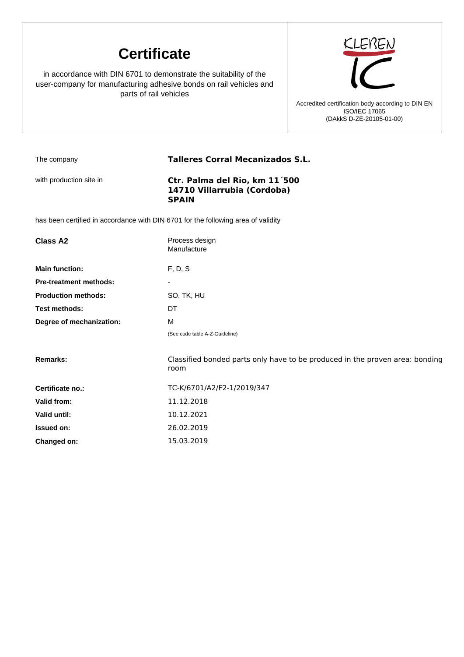